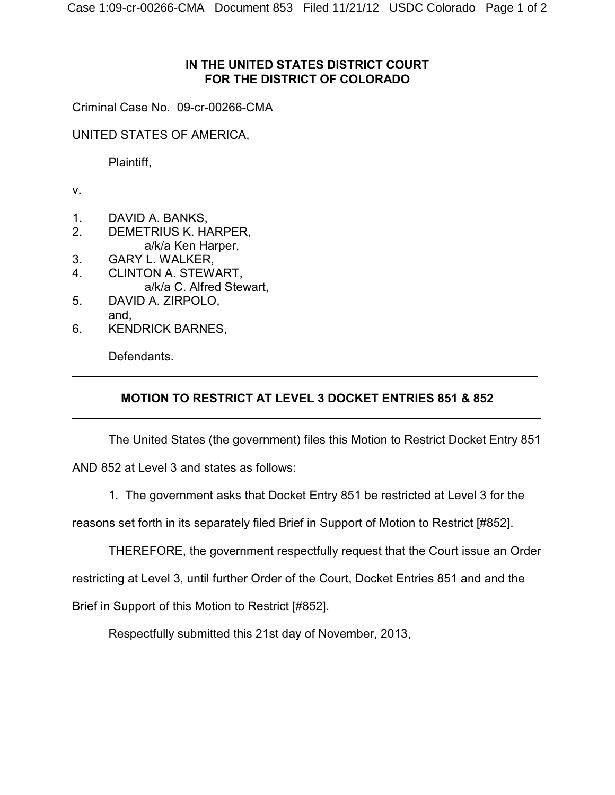## **IN THE UNITED STATES DISTRICT COURT FOR THE DISTRICT OF COLORADO**

Criminal Case No. 09-cr-00266-CMA

UNITED STATES OF AMERICA,

Plaintiff,

v.

 $\overline{a}$ 

 $\overline{a}$ 

- 1. DAVID A. BANKS,
- 2. DEMETRIUS K. HARPER, a/k/a Ken Harper,
- 3. GARY L. WALKER,
- 4. CLINTON A. STEWART, a/k/a C. Alfred Stewart,
- 5. DAVID A. ZIRPOLO, and,
- 6. KENDRICK BARNES,

Defendants.

## **MOTION TO RESTRICT AT LEVEL 3 DOCKET ENTRIES 851 & 852**

The United States (the government) files this Motion to Restrict Docket Entry 851 AND 852 at Level 3 and states as follows:

1. The government asks that Docket Entry 851 be restricted at Level 3 for the

reasons set forth in its separately filed Brief in Support of Motion to Restrict [#852].

THEREFORE, the government respectfully request that the Court issue an Order

restricting at Level 3, until further Order of the Court, Docket Entries 851 and and the

Brief in Support of this Motion to Restrict [#852].

Respectfully submitted this 21st day of November, 2013,